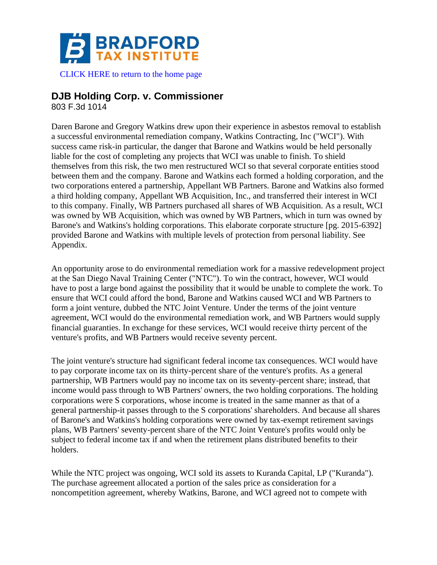

[CLICK HERE to return to the home page](https://www.bradfordtaxinstitute.com)

# **DJB Holding Corp. v. Commissioner**

803 F.3d 1014

Daren Barone and Gregory Watkins drew upon their experience in asbestos removal to establish a successful environmental remediation company, Watkins Contracting, Inc ("WCI"). With success came risk-in particular, the danger that Barone and Watkins would be held personally liable for the cost of completing any projects that WCI was unable to finish. To shield themselves from this risk, the two men restructured WCI so that several corporate entities stood between them and the company. Barone and Watkins each formed a holding corporation, and the two corporations entered a partnership, Appellant WB Partners. Barone and Watkins also formed a third holding company, Appellant WB Acquisition, Inc., and transferred their interest in WCI to this company. Finally, WB Partners purchased all shares of WB Acquisition. As a result, WCI was owned by WB Acquisition, which was owned by WB Partners, which in turn was owned by Barone's and Watkins's holding corporations. This elaborate corporate structure [pg. 2015-6392] provided Barone and Watkins with multiple levels of protection from personal liability. See Appendix.

An opportunity arose to do environmental remediation work for a massive redevelopment project at the San Diego Naval Training Center ("NTC"). To win the contract, however, WCI would have to post a large bond against the possibility that it would be unable to complete the work. To ensure that WCI could afford the bond, Barone and Watkins caused WCI and WB Partners to form a joint venture, dubbed the NTC Joint Venture. Under the terms of the joint venture agreement, WCI would do the environmental remediation work, and WB Partners would supply financial guaranties. In exchange for these services, WCI would receive thirty percent of the venture's profits, and WB Partners would receive seventy percent.

The joint venture's structure had significant federal income tax consequences. WCI would have to pay corporate income tax on its thirty-percent share of the venture's profits. As a general partnership, WB Partners would pay no income tax on its seventy-percent share; instead, that income would pass through to WB Partners' owners, the two holding corporations. The holding corporations were S corporations, whose income is treated in the same manner as that of a general partnership-it passes through to the S corporations' shareholders. And because all shares of Barone's and Watkins's holding corporations were owned by tax-exempt retirement savings plans, WB Partners' seventy-percent share of the NTC Joint Venture's profits would only be subject to federal income tax if and when the retirement plans distributed benefits to their holders.

While the NTC project was ongoing, WCI sold its assets to Kuranda Capital, LP ("Kuranda"). The purchase agreement allocated a portion of the sales price as consideration for a noncompetition agreement, whereby Watkins, Barone, and WCI agreed not to compete with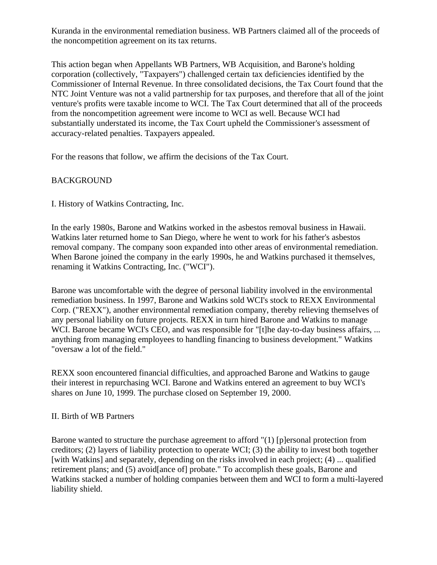Kuranda in the environmental remediation business. WB Partners claimed all of the proceeds of the noncompetition agreement on its tax returns.

This action began when Appellants WB Partners, WB Acquisition, and Barone's holding corporation (collectively, "Taxpayers") challenged certain tax deficiencies identified by the Commissioner of Internal Revenue. In three consolidated decisions, the Tax Court found that the NTC Joint Venture was not a valid partnership for tax purposes, and therefore that all of the joint venture's profits were taxable income to WCI. The Tax Court determined that all of the proceeds from the noncompetition agreement were income to WCI as well. Because WCI had substantially understated its income, the Tax Court upheld the Commissioner's assessment of accuracy-related penalties. Taxpayers appealed.

For the reasons that follow, we affirm the decisions of the Tax Court.

# BACKGROUND

I. History of Watkins Contracting, Inc.

In the early 1980s, Barone and Watkins worked in the asbestos removal business in Hawaii. Watkins later returned home to San Diego, where he went to work for his father's asbestos removal company. The company soon expanded into other areas of environmental remediation. When Barone joined the company in the early 1990s, he and Watkins purchased it themselves, renaming it Watkins Contracting, Inc. ("WCI").

Barone was uncomfortable with the degree of personal liability involved in the environmental remediation business. In 1997, Barone and Watkins sold WCI's stock to REXX Environmental Corp. ("REXX"), another environmental remediation company, thereby relieving themselves of any personal liability on future projects. REXX in turn hired Barone and Watkins to manage WCI. Barone became WCI's CEO, and was responsible for "[t]he day-to-day business affairs, ... anything from managing employees to handling financing to business development." Watkins "oversaw a lot of the field."

REXX soon encountered financial difficulties, and approached Barone and Watkins to gauge their interest in repurchasing WCI. Barone and Watkins entered an agreement to buy WCI's shares on June 10, 1999. The purchase closed on September 19, 2000.

### II. Birth of WB Partners

Barone wanted to structure the purchase agreement to afford "(1) [p]ersonal protection from creditors; (2) layers of liability protection to operate WCI; (3) the ability to invest both together [with Watkins] and separately, depending on the risks involved in each project; (4) ... qualified retirement plans; and (5) avoid[ance of] probate." To accomplish these goals, Barone and Watkins stacked a number of holding companies between them and WCI to form a multi-layered liability shield.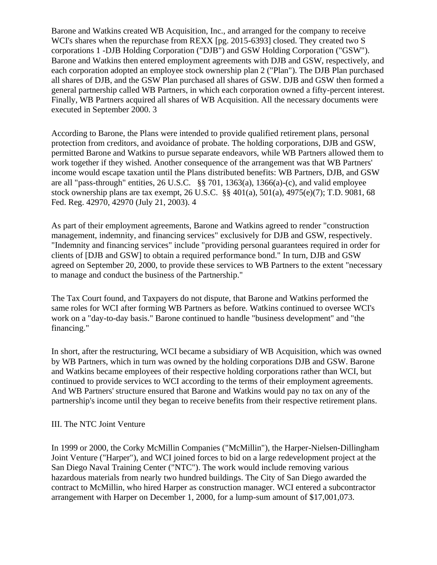Barone and Watkins created WB Acquisition, Inc., and arranged for the company to receive WCI's shares when the repurchase from REXX [pg. 2015-6393] closed. They created two S corporations 1 -DJB Holding Corporation ("DJB") and GSW Holding Corporation ("GSW"). Barone and Watkins then entered employment agreements with DJB and GSW, respectively, and each corporation adopted an employee stock ownership plan 2 ("Plan"). The DJB Plan purchased all shares of DJB, and the GSW Plan purchased all shares of GSW. DJB and GSW then formed a general partnership called WB Partners, in which each corporation owned a fifty-percent interest. Finally, WB Partners acquired all shares of WB Acquisition. All the necessary documents were executed in September 2000. 3

According to Barone, the Plans were intended to provide qualified retirement plans, personal protection from creditors, and avoidance of probate. The holding corporations, DJB and GSW, permitted Barone and Watkins to pursue separate endeavors, while WB Partners allowed them to work together if they wished. Another consequence of the arrangement was that WB Partners' income would escape taxation until the Plans distributed benefits: WB Partners, DJB, and GSW are all "pass-through" entities, 26 U.S.C. §§ 701, 1363(a), 1366(a)-(c), and valid employee stock ownership plans are tax exempt, 26 U.S.C. §§ 401(a), 501(a), 4975(e)(7); T.D. 9081, 68 Fed. Reg. 42970, 42970 (July 21, 2003). 4

As part of their employment agreements, Barone and Watkins agreed to render "construction management, indemnity, and financing services" exclusively for DJB and GSW, respectively. "Indemnity and financing services" include "providing personal guarantees required in order for clients of [DJB and GSW] to obtain a required performance bond." In turn, DJB and GSW agreed on September 20, 2000, to provide these services to WB Partners to the extent "necessary to manage and conduct the business of the Partnership."

The Tax Court found, and Taxpayers do not dispute, that Barone and Watkins performed the same roles for WCI after forming WB Partners as before. Watkins continued to oversee WCI's work on a "day-to-day basis." Barone continued to handle "business development" and "the financing."

In short, after the restructuring, WCI became a subsidiary of WB Acquisition, which was owned by WB Partners, which in turn was owned by the holding corporations DJB and GSW. Barone and Watkins became employees of their respective holding corporations rather than WCI, but continued to provide services to WCI according to the terms of their employment agreements. And WB Partners' structure ensured that Barone and Watkins would pay no tax on any of the partnership's income until they began to receive benefits from their respective retirement plans.

### III. The NTC Joint Venture

In 1999 or 2000, the Corky McMillin Companies ("McMillin"), the Harper-Nielsen-Dillingham Joint Venture ("Harper"), and WCI joined forces to bid on a large redevelopment project at the San Diego Naval Training Center ("NTC"). The work would include removing various hazardous materials from nearly two hundred buildings. The City of San Diego awarded the contract to McMillin, who hired Harper as construction manager. WCI entered a subcontractor arrangement with Harper on December 1, 2000, for a lump-sum amount of \$17,001,073.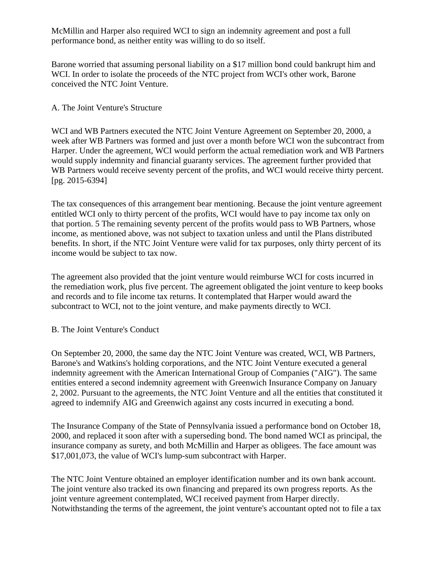McMillin and Harper also required WCI to sign an indemnity agreement and post a full performance bond, as neither entity was willing to do so itself.

Barone worried that assuming personal liability on a \$17 million bond could bankrupt him and WCI. In order to isolate the proceeds of the NTC project from WCI's other work, Barone conceived the NTC Joint Venture.

## A. The Joint Venture's Structure

WCI and WB Partners executed the NTC Joint Venture Agreement on September 20, 2000, a week after WB Partners was formed and just over a month before WCI won the subcontract from Harper. Under the agreement, WCI would perform the actual remediation work and WB Partners would supply indemnity and financial guaranty services. The agreement further provided that WB Partners would receive seventy percent of the profits, and WCI would receive thirty percent. [pg. 2015-6394]

The tax consequences of this arrangement bear mentioning. Because the joint venture agreement entitled WCI only to thirty percent of the profits, WCI would have to pay income tax only on that portion. 5 The remaining seventy percent of the profits would pass to WB Partners, whose income, as mentioned above, was not subject to taxation unless and until the Plans distributed benefits. In short, if the NTC Joint Venture were valid for tax purposes, only thirty percent of its income would be subject to tax now.

The agreement also provided that the joint venture would reimburse WCI for costs incurred in the remediation work, plus five percent. The agreement obligated the joint venture to keep books and records and to file income tax returns. It contemplated that Harper would award the subcontract to WCI, not to the joint venture, and make payments directly to WCI.

### B. The Joint Venture's Conduct

On September 20, 2000, the same day the NTC Joint Venture was created, WCI, WB Partners, Barone's and Watkins's holding corporations, and the NTC Joint Venture executed a general indemnity agreement with the American International Group of Companies ("AIG"). The same entities entered a second indemnity agreement with Greenwich Insurance Company on January 2, 2002. Pursuant to the agreements, the NTC Joint Venture and all the entities that constituted it agreed to indemnify AIG and Greenwich against any costs incurred in executing a bond.

The Insurance Company of the State of Pennsylvania issued a performance bond on October 18, 2000, and replaced it soon after with a superseding bond. The bond named WCI as principal, the insurance company as surety, and both McMillin and Harper as obligees. The face amount was \$17,001,073, the value of WCI's lump-sum subcontract with Harper.

The NTC Joint Venture obtained an employer identification number and its own bank account. The joint venture also tracked its own financing and prepared its own progress reports. As the joint venture agreement contemplated, WCI received payment from Harper directly. Notwithstanding the terms of the agreement, the joint venture's accountant opted not to file a tax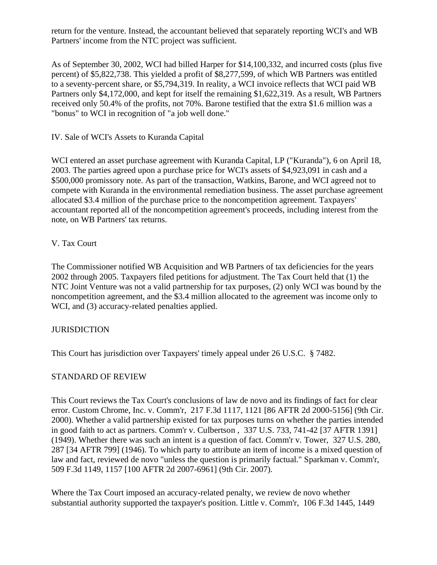return for the venture. Instead, the accountant believed that separately reporting WCI's and WB Partners' income from the NTC project was sufficient.

As of September 30, 2002, WCI had billed Harper for \$14,100,332, and incurred costs (plus five percent) of \$5,822,738. This yielded a profit of \$8,277,599, of which WB Partners was entitled to a seventy-percent share, or \$5,794,319. In reality, a WCI invoice reflects that WCI paid WB Partners only \$4,172,000, and kept for itself the remaining \$1,622,319. As a result, WB Partners received only 50.4% of the profits, not 70%. Barone testified that the extra \$1.6 million was a "bonus" to WCI in recognition of "a job well done."

IV. Sale of WCI's Assets to Kuranda Capital

WCI entered an asset purchase agreement with Kuranda Capital, LP ("Kuranda"), 6 on April 18, 2003. The parties agreed upon a purchase price for WCI's assets of \$4,923,091 in cash and a \$500,000 promissory note. As part of the transaction, Watkins, Barone, and WCI agreed not to compete with Kuranda in the environmental remediation business. The asset purchase agreement allocated \$3.4 million of the purchase price to the noncompetition agreement. Taxpayers' accountant reported all of the noncompetition agreement's proceeds, including interest from the note, on WB Partners' tax returns.

## V. Tax Court

The Commissioner notified WB Acquisition and WB Partners of tax deficiencies for the years 2002 through 2005. Taxpayers filed petitions for adjustment. The Tax Court held that (1) the NTC Joint Venture was not a valid partnership for tax purposes, (2) only WCI was bound by the noncompetition agreement, and the \$3.4 million allocated to the agreement was income only to WCI, and (3) accuracy-related penalties applied.

# **JURISDICTION**

This Court has jurisdiction over Taxpayers' timely appeal under 26 U.S.C. § 7482.

### STANDARD OF REVIEW

This Court reviews the Tax Court's conclusions of law de novo and its findings of fact for clear error. Custom Chrome, Inc. v. Comm'r, 217 F.3d 1117, 1121 [86 AFTR 2d 2000-5156] (9th Cir. 2000). Whether a valid partnership existed for tax purposes turns on whether the parties intended in good faith to act as partners. Comm'r v. Culbertson , 337 U.S. 733, 741-42 [37 AFTR 1391] (1949). Whether there was such an intent is a question of fact. Comm'r v. Tower, 327 U.S. 280, 287 [34 AFTR 799] (1946). To which party to attribute an item of income is a mixed question of law and fact, reviewed de novo "unless the question is primarily factual." Sparkman v. Comm'r, 509 F.3d 1149, 1157 [100 AFTR 2d 2007-6961] (9th Cir. 2007).

Where the Tax Court imposed an accuracy-related penalty, we review de novo whether substantial authority supported the taxpayer's position. Little v. Comm'r, 106 F.3d 1445, 1449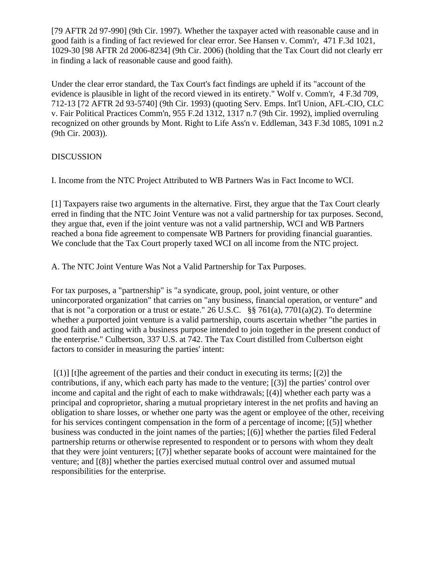[79 AFTR 2d 97-990] (9th Cir. 1997). Whether the taxpayer acted with reasonable cause and in good faith is a finding of fact reviewed for clear error. See Hansen v. Comm'r, 471 F.3d 1021, 1029-30 [98 AFTR 2d 2006-8234] (9th Cir. 2006) (holding that the Tax Court did not clearly err in finding a lack of reasonable cause and good faith).

Under the clear error standard, the Tax Court's fact findings are upheld if its "account of the evidence is plausible in light of the record viewed in its entirety." Wolf v. Comm'r, 4 F.3d 709, 712-13 [72 AFTR 2d 93-5740] (9th Cir. 1993) (quoting Serv. Emps. Int'l Union, AFL-CIO, CLC v. Fair Political Practices Comm'n, 955 F.2d 1312, 1317 n.7 (9th Cir. 1992), implied overruling recognized on other grounds by Mont. Right to Life Ass'n v. Eddleman, 343 F.3d 1085, 1091 n.2 (9th Cir. 2003)).

## DISCUSSION

I. Income from the NTC Project Attributed to WB Partners Was in Fact Income to WCI.

[1] Taxpayers raise two arguments in the alternative. First, they argue that the Tax Court clearly erred in finding that the NTC Joint Venture was not a valid partnership for tax purposes. Second, they argue that, even if the joint venture was not a valid partnership, WCI and WB Partners reached a bona fide agreement to compensate WB Partners for providing financial guaranties. We conclude that the Tax Court properly taxed WCI on all income from the NTC project.

A. The NTC Joint Venture Was Not a Valid Partnership for Tax Purposes.

For tax purposes, a "partnership" is "a syndicate, group, pool, joint venture, or other unincorporated organization" that carries on "any business, financial operation, or venture" and that is not "a corporation or a trust or estate." 26 U.S.C. §§ 761(a), 7701(a)(2). To determine whether a purported joint venture is a valid partnership, courts ascertain whether "the parties in good faith and acting with a business purpose intended to join together in the present conduct of the enterprise." Culbertson, 337 U.S. at 742. The Tax Court distilled from Culbertson eight factors to consider in measuring the parties' intent:

 $[(1)]$  [t]he agreement of the parties and their conduct in executing its terms;  $[(2)]$  the contributions, if any, which each party has made to the venture; [(3)] the parties' control over income and capital and the right of each to make withdrawals; [(4)] whether each party was a principal and coproprietor, sharing a mutual proprietary interest in the net profits and having an obligation to share losses, or whether one party was the agent or employee of the other, receiving for his services contingent compensation in the form of a percentage of income; [(5)] whether business was conducted in the joint names of the parties; [(6)] whether the parties filed Federal partnership returns or otherwise represented to respondent or to persons with whom they dealt that they were joint venturers; [(7)] whether separate books of account were maintained for the venture; and [(8)] whether the parties exercised mutual control over and assumed mutual responsibilities for the enterprise.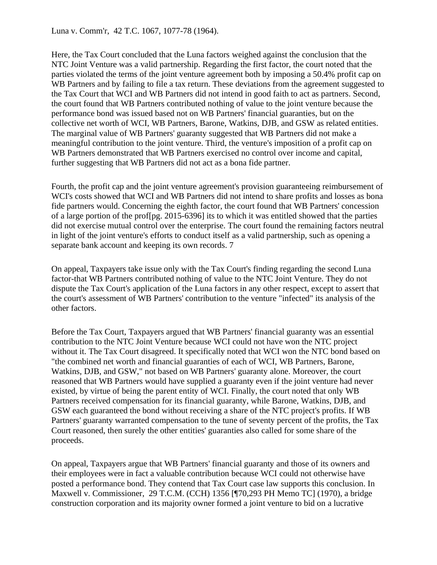Luna v. Comm'r, 42 T.C. 1067, 1077-78 (1964).

Here, the Tax Court concluded that the Luna factors weighed against the conclusion that the NTC Joint Venture was a valid partnership. Regarding the first factor, the court noted that the parties violated the terms of the joint venture agreement both by imposing a 50.4% profit cap on WB Partners and by failing to file a tax return. These deviations from the agreement suggested to the Tax Court that WCI and WB Partners did not intend in good faith to act as partners. Second, the court found that WB Partners contributed nothing of value to the joint venture because the performance bond was issued based not on WB Partners' financial guaranties, but on the collective net worth of WCI, WB Partners, Barone, Watkins, DJB, and GSW as related entities. The marginal value of WB Partners' guaranty suggested that WB Partners did not make a meaningful contribution to the joint venture. Third, the venture's imposition of a profit cap on WB Partners demonstrated that WB Partners exercised no control over income and capital, further suggesting that WB Partners did not act as a bona fide partner.

Fourth, the profit cap and the joint venture agreement's provision guaranteeing reimbursement of WCI's costs showed that WCI and WB Partners did not intend to share profits and losses as bona fide partners would. Concerning the eighth factor, the court found that WB Partners' concession of a large portion of the prof[pg. 2015-6396] its to which it was entitled showed that the parties did not exercise mutual control over the enterprise. The court found the remaining factors neutral in light of the joint venture's efforts to conduct itself as a valid partnership, such as opening a separate bank account and keeping its own records. 7

On appeal, Taxpayers take issue only with the Tax Court's finding regarding the second Luna factor-that WB Partners contributed nothing of value to the NTC Joint Venture. They do not dispute the Tax Court's application of the Luna factors in any other respect, except to assert that the court's assessment of WB Partners' contribution to the venture "infected" its analysis of the other factors.

Before the Tax Court, Taxpayers argued that WB Partners' financial guaranty was an essential contribution to the NTC Joint Venture because WCI could not have won the NTC project without it. The Tax Court disagreed. It specifically noted that WCI won the NTC bond based on "the combined net worth and financial guaranties of each of WCI, WB Partners, Barone, Watkins, DJB, and GSW," not based on WB Partners' guaranty alone. Moreover, the court reasoned that WB Partners would have supplied a guaranty even if the joint venture had never existed, by virtue of being the parent entity of WCI. Finally, the court noted that only WB Partners received compensation for its financial guaranty, while Barone, Watkins, DJB, and GSW each guaranteed the bond without receiving a share of the NTC project's profits. If WB Partners' guaranty warranted compensation to the tune of seventy percent of the profits, the Tax Court reasoned, then surely the other entities' guaranties also called for some share of the proceeds.

On appeal, Taxpayers argue that WB Partners' financial guaranty and those of its owners and their employees were in fact a valuable contribution because WCI could not otherwise have posted a performance bond. They contend that Tax Court case law supports this conclusion. In Maxwell v. Commissioner, 29 T.C.M. (CCH) 1356 [¶70,293 PH Memo TC] (1970), a bridge construction corporation and its majority owner formed a joint venture to bid on a lucrative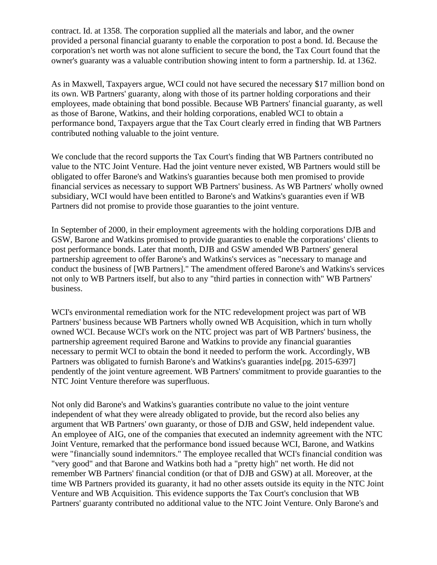contract. Id. at 1358. The corporation supplied all the materials and labor, and the owner provided a personal financial guaranty to enable the corporation to post a bond. Id. Because the corporation's net worth was not alone sufficient to secure the bond, the Tax Court found that the owner's guaranty was a valuable contribution showing intent to form a partnership. Id. at 1362.

As in Maxwell, Taxpayers argue, WCI could not have secured the necessary \$17 million bond on its own. WB Partners' guaranty, along with those of its partner holding corporations and their employees, made obtaining that bond possible. Because WB Partners' financial guaranty, as well as those of Barone, Watkins, and their holding corporations, enabled WCI to obtain a performance bond, Taxpayers argue that the Tax Court clearly erred in finding that WB Partners contributed nothing valuable to the joint venture.

We conclude that the record supports the Tax Court's finding that WB Partners contributed no value to the NTC Joint Venture. Had the joint venture never existed, WB Partners would still be obligated to offer Barone's and Watkins's guaranties because both men promised to provide financial services as necessary to support WB Partners' business. As WB Partners' wholly owned subsidiary, WCI would have been entitled to Barone's and Watkins's guaranties even if WB Partners did not promise to provide those guaranties to the joint venture.

In September of 2000, in their employment agreements with the holding corporations DJB and GSW, Barone and Watkins promised to provide guaranties to enable the corporations' clients to post performance bonds. Later that month, DJB and GSW amended WB Partners' general partnership agreement to offer Barone's and Watkins's services as "necessary to manage and conduct the business of [WB Partners]." The amendment offered Barone's and Watkins's services not only to WB Partners itself, but also to any "third parties in connection with" WB Partners' business.

WCI's environmental remediation work for the NTC redevelopment project was part of WB Partners' business because WB Partners wholly owned WB Acquisition, which in turn wholly owned WCI. Because WCI's work on the NTC project was part of WB Partners' business, the partnership agreement required Barone and Watkins to provide any financial guaranties necessary to permit WCI to obtain the bond it needed to perform the work. Accordingly, WB Partners was obligated to furnish Barone's and Watkins's guaranties inde[pg. 2015-6397] pendently of the joint venture agreement. WB Partners' commitment to provide guaranties to the NTC Joint Venture therefore was superfluous.

Not only did Barone's and Watkins's guaranties contribute no value to the joint venture independent of what they were already obligated to provide, but the record also belies any argument that WB Partners' own guaranty, or those of DJB and GSW, held independent value. An employee of AIG, one of the companies that executed an indemnity agreement with the NTC Joint Venture, remarked that the performance bond issued because WCI, Barone, and Watkins were "financially sound indemnitors." The employee recalled that WCI's financial condition was "very good" and that Barone and Watkins both had a "pretty high" net worth. He did not remember WB Partners' financial condition (or that of DJB and GSW) at all. Moreover, at the time WB Partners provided its guaranty, it had no other assets outside its equity in the NTC Joint Venture and WB Acquisition. This evidence supports the Tax Court's conclusion that WB Partners' guaranty contributed no additional value to the NTC Joint Venture. Only Barone's and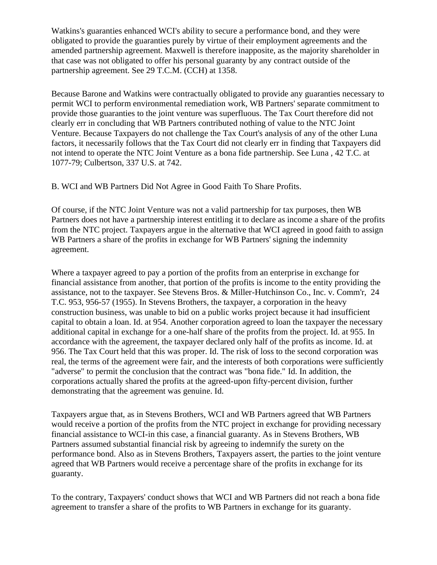Watkins's guaranties enhanced WCI's ability to secure a performance bond, and they were obligated to provide the guaranties purely by virtue of their employment agreements and the amended partnership agreement. Maxwell is therefore inapposite, as the majority shareholder in that case was not obligated to offer his personal guaranty by any contract outside of the partnership agreement. See 29 T.C.M. (CCH) at 1358.

Because Barone and Watkins were contractually obligated to provide any guaranties necessary to permit WCI to perform environmental remediation work, WB Partners' separate commitment to provide those guaranties to the joint venture was superfluous. The Tax Court therefore did not clearly err in concluding that WB Partners contributed nothing of value to the NTC Joint Venture. Because Taxpayers do not challenge the Tax Court's analysis of any of the other Luna factors, it necessarily follows that the Tax Court did not clearly err in finding that Taxpayers did not intend to operate the NTC Joint Venture as a bona fide partnership. See Luna , 42 T.C. at 1077-79; Culbertson, 337 U.S. at 742.

B. WCI and WB Partners Did Not Agree in Good Faith To Share Profits.

Of course, if the NTC Joint Venture was not a valid partnership for tax purposes, then WB Partners does not have a partnership interest entitling it to declare as income a share of the profits from the NTC project. Taxpayers argue in the alternative that WCI agreed in good faith to assign WB Partners a share of the profits in exchange for WB Partners' signing the indemnity agreement.

Where a taxpayer agreed to pay a portion of the profits from an enterprise in exchange for financial assistance from another, that portion of the profits is income to the entity providing the assistance, not to the taxpayer. See Stevens Bros. & Miller-Hutchinson Co., Inc. v. Comm'r, 24 T.C. 953, 956-57 (1955). In Stevens Brothers, the taxpayer, a corporation in the heavy construction business, was unable to bid on a public works project because it had insufficient capital to obtain a loan. Id. at 954. Another corporation agreed to loan the taxpayer the necessary additional capital in exchange for a one-half share of the profits from the project. Id. at 955. In accordance with the agreement, the taxpayer declared only half of the profits as income. Id. at 956. The Tax Court held that this was proper. Id. The risk of loss to the second corporation was real, the terms of the agreement were fair, and the interests of both corporations were sufficiently "adverse" to permit the conclusion that the contract was "bona fide." Id. In addition, the corporations actually shared the profits at the agreed-upon fifty-percent division, further demonstrating that the agreement was genuine. Id.

Taxpayers argue that, as in Stevens Brothers, WCI and WB Partners agreed that WB Partners would receive a portion of the profits from the NTC project in exchange for providing necessary financial assistance to WCI-in this case, a financial guaranty. As in Stevens Brothers, WB Partners assumed substantial financial risk by agreeing to indemnify the surety on the performance bond. Also as in Stevens Brothers, Taxpayers assert, the parties to the joint venture agreed that WB Partners would receive a percentage share of the profits in exchange for its guaranty.

To the contrary, Taxpayers' conduct shows that WCI and WB Partners did not reach a bona fide agreement to transfer a share of the profits to WB Partners in exchange for its guaranty.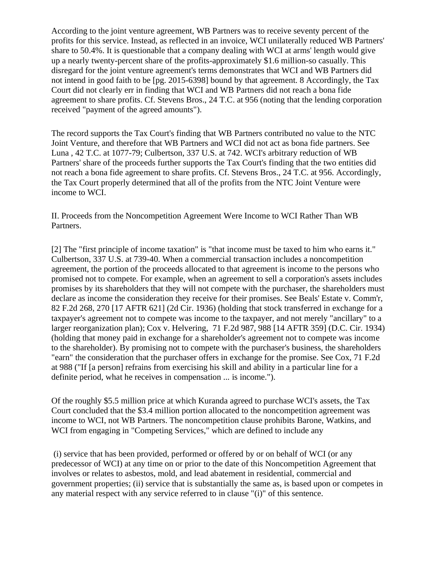According to the joint venture agreement, WB Partners was to receive seventy percent of the profits for this service. Instead, as reflected in an invoice, WCI unilaterally reduced WB Partners' share to 50.4%. It is questionable that a company dealing with WCI at arms' length would give up a nearly twenty-percent share of the profits-approximately \$1.6 million-so casually. This disregard for the joint venture agreement's terms demonstrates that WCI and WB Partners did not intend in good faith to be [pg. 2015-6398] bound by that agreement. 8 Accordingly, the Tax Court did not clearly err in finding that WCI and WB Partners did not reach a bona fide agreement to share profits. Cf. Stevens Bros., 24 T.C. at 956 (noting that the lending corporation received "payment of the agreed amounts").

The record supports the Tax Court's finding that WB Partners contributed no value to the NTC Joint Venture, and therefore that WB Partners and WCI did not act as bona fide partners. See Luna , 42 T.C. at 1077-79; Culbertson, 337 U.S. at 742. WCI's arbitrary reduction of WB Partners' share of the proceeds further supports the Tax Court's finding that the two entities did not reach a bona fide agreement to share profits. Cf. Stevens Bros., 24 T.C. at 956. Accordingly, the Tax Court properly determined that all of the profits from the NTC Joint Venture were income to WCI.

II. Proceeds from the Noncompetition Agreement Were Income to WCI Rather Than WB Partners.

[2] The "first principle of income taxation" is "that income must be taxed to him who earns it." Culbertson, 337 U.S. at 739-40. When a commercial transaction includes a noncompetition agreement, the portion of the proceeds allocated to that agreement is income to the persons who promised not to compete. For example, when an agreement to sell a corporation's assets includes promises by its shareholders that they will not compete with the purchaser, the shareholders must declare as income the consideration they receive for their promises. See Beals' Estate v. Comm'r, 82 F.2d 268, 270 [17 AFTR 621] (2d Cir. 1936) (holding that stock transferred in exchange for a taxpayer's agreement not to compete was income to the taxpayer, and not merely "ancillary" to a larger reorganization plan); Cox v. Helvering, 71 F.2d 987, 988 [14 AFTR 359] (D.C. Cir. 1934) (holding that money paid in exchange for a shareholder's agreement not to compete was income to the shareholder). By promising not to compete with the purchaser's business, the shareholders "earn" the consideration that the purchaser offers in exchange for the promise. See Cox, 71 F.2d at 988 ("If [a person] refrains from exercising his skill and ability in a particular line for a definite period, what he receives in compensation ... is income.").

Of the roughly \$5.5 million price at which Kuranda agreed to purchase WCI's assets, the Tax Court concluded that the \$3.4 million portion allocated to the noncompetition agreement was income to WCI, not WB Partners. The noncompetition clause prohibits Barone, Watkins, and WCI from engaging in "Competing Services," which are defined to include any

(i) service that has been provided, performed or offered by or on behalf of WCI (or any predecessor of WCI) at any time on or prior to the date of this Noncompetition Agreement that involves or relates to asbestos, mold, and lead abatement in residential, commercial and government properties; (ii) service that is substantially the same as, is based upon or competes in any material respect with any service referred to in clause "(i)" of this sentence.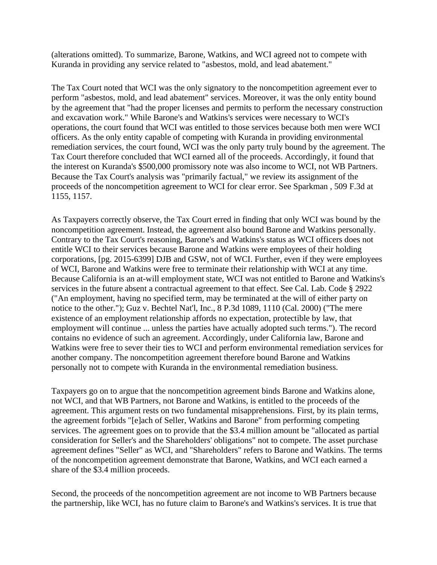(alterations omitted). To summarize, Barone, Watkins, and WCI agreed not to compete with Kuranda in providing any service related to "asbestos, mold, and lead abatement."

The Tax Court noted that WCI was the only signatory to the noncompetition agreement ever to perform "asbestos, mold, and lead abatement" services. Moreover, it was the only entity bound by the agreement that "had the proper licenses and permits to perform the necessary construction and excavation work." While Barone's and Watkins's services were necessary to WCI's operations, the court found that WCI was entitled to those services because both men were WCI officers. As the only entity capable of competing with Kuranda in providing environmental remediation services, the court found, WCI was the only party truly bound by the agreement. The Tax Court therefore concluded that WCI earned all of the proceeds. Accordingly, it found that the interest on Kuranda's \$500,000 promissory note was also income to WCI, not WB Partners. Because the Tax Court's analysis was "primarily factual," we review its assignment of the proceeds of the noncompetition agreement to WCI for clear error. See Sparkman , 509 F.3d at 1155, 1157.

As Taxpayers correctly observe, the Tax Court erred in finding that only WCI was bound by the noncompetition agreement. Instead, the agreement also bound Barone and Watkins personally. Contrary to the Tax Court's reasoning, Barone's and Watkins's status as WCI officers does not entitle WCI to their services because Barone and Watkins were employees of their holding corporations, [pg. 2015-6399] DJB and GSW, not of WCI. Further, even if they were employees of WCI, Barone and Watkins were free to terminate their relationship with WCI at any time. Because California is an at-will employment state, WCI was not entitled to Barone and Watkins's services in the future absent a contractual agreement to that effect. See Cal. Lab. Code § 2922 ("An employment, having no specified term, may be terminated at the will of either party on notice to the other."); Guz v. Bechtel Nat'l, Inc., 8 P.3d 1089, 1110 (Cal. 2000) ("The mere existence of an employment relationship affords no expectation, protectible by law, that employment will continue ... unless the parties have actually adopted such terms."). The record contains no evidence of such an agreement. Accordingly, under California law, Barone and Watkins were free to sever their ties to WCI and perform environmental remediation services for another company. The noncompetition agreement therefore bound Barone and Watkins personally not to compete with Kuranda in the environmental remediation business.

Taxpayers go on to argue that the noncompetition agreement binds Barone and Watkins alone, not WCI, and that WB Partners, not Barone and Watkins, is entitled to the proceeds of the agreement. This argument rests on two fundamental misapprehensions. First, by its plain terms, the agreement forbids "[e]ach of Seller, Watkins and Barone" from performing competing services. The agreement goes on to provide that the \$3.4 million amount be "allocated as partial consideration for Seller's and the Shareholders' obligations" not to compete. The asset purchase agreement defines "Seller" as WCI, and "Shareholders" refers to Barone and Watkins. The terms of the noncompetition agreement demonstrate that Barone, Watkins, and WCI each earned a share of the \$3.4 million proceeds.

Second, the proceeds of the noncompetition agreement are not income to WB Partners because the partnership, like WCI, has no future claim to Barone's and Watkins's services. It is true that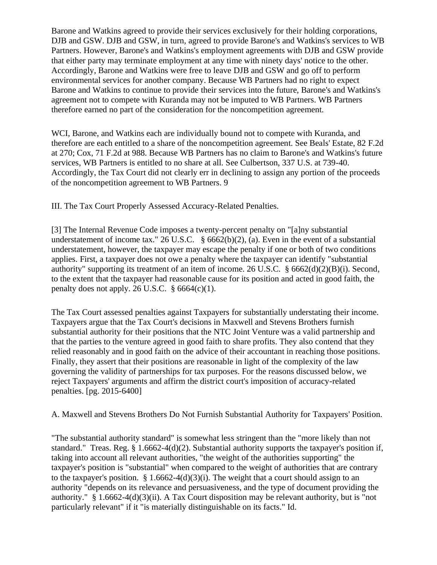Barone and Watkins agreed to provide their services exclusively for their holding corporations, DJB and GSW. DJB and GSW, in turn, agreed to provide Barone's and Watkins's services to WB Partners. However, Barone's and Watkins's employment agreements with DJB and GSW provide that either party may terminate employment at any time with ninety days' notice to the other. Accordingly, Barone and Watkins were free to leave DJB and GSW and go off to perform environmental services for another company. Because WB Partners had no right to expect Barone and Watkins to continue to provide their services into the future, Barone's and Watkins's agreement not to compete with Kuranda may not be imputed to WB Partners. WB Partners therefore earned no part of the consideration for the noncompetition agreement.

WCI, Barone, and Watkins each are individually bound not to compete with Kuranda, and therefore are each entitled to a share of the noncompetition agreement. See Beals' Estate, 82 F.2d at 270; Cox, 71 F.2d at 988. Because WB Partners has no claim to Barone's and Watkins's future services, WB Partners is entitled to no share at all. See Culbertson, 337 U.S. at 739-40. Accordingly, the Tax Court did not clearly err in declining to assign any portion of the proceeds of the noncompetition agreement to WB Partners. 9

III. The Tax Court Properly Assessed Accuracy-Related Penalties.

[3] The Internal Revenue Code imposes a twenty-percent penalty on "[a]ny substantial understatement of income tax." 26 U.S.C. § 6662(b)(2), (a). Even in the event of a substantial understatement, however, the taxpayer may escape the penalty if one or both of two conditions applies. First, a taxpayer does not owe a penalty where the taxpayer can identify "substantial authority" supporting its treatment of an item of income. 26 U.S.C. § 6662(d)(2)(B)(i). Second, to the extent that the taxpayer had reasonable cause for its position and acted in good faith, the penalty does not apply. 26 U.S.C.  $\S 6664(c)(1)$ .

The Tax Court assessed penalties against Taxpayers for substantially understating their income. Taxpayers argue that the Tax Court's decisions in Maxwell and Stevens Brothers furnish substantial authority for their positions that the NTC Joint Venture was a valid partnership and that the parties to the venture agreed in good faith to share profits. They also contend that they relied reasonably and in good faith on the advice of their accountant in reaching those positions. Finally, they assert that their positions are reasonable in light of the complexity of the law governing the validity of partnerships for tax purposes. For the reasons discussed below, we reject Taxpayers' arguments and affirm the district court's imposition of accuracy-related penalties. [pg. 2015-6400]

A. Maxwell and Stevens Brothers Do Not Furnish Substantial Authority for Taxpayers' Position.

"The substantial authority standard" is somewhat less stringent than the "more likely than not standard." Treas. Reg. § 1.6662-4(d)(2). Substantial authority supports the taxpayer's position if, taking into account all relevant authorities, "the weight of the authorities supporting" the taxpayer's position is "substantial" when compared to the weight of authorities that are contrary to the taxpayer's position.  $§ 1.6662-4(d)(3)(i)$ . The weight that a court should assign to an authority "depends on its relevance and persuasiveness, and the type of document providing the authority." § 1.6662-4(d)(3)(ii). A Tax Court disposition may be relevant authority, but is "not particularly relevant" if it "is materially distinguishable on its facts." Id.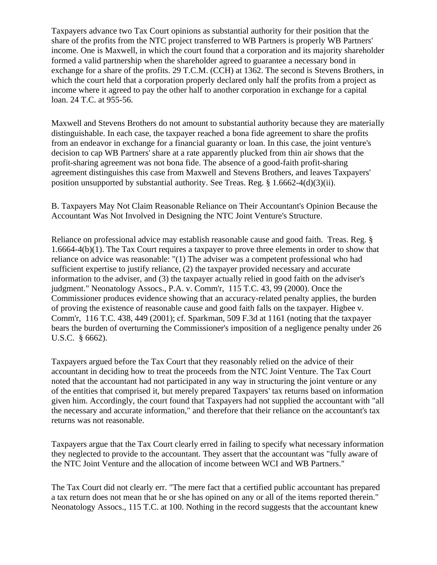Taxpayers advance two Tax Court opinions as substantial authority for their position that the share of the profits from the NTC project transferred to WB Partners is properly WB Partners' income. One is Maxwell, in which the court found that a corporation and its majority shareholder formed a valid partnership when the shareholder agreed to guarantee a necessary bond in exchange for a share of the profits. 29 T.C.M. (CCH) at 1362. The second is Stevens Brothers, in which the court held that a corporation properly declared only half the profits from a project as income where it agreed to pay the other half to another corporation in exchange for a capital loan. 24 T.C. at 955-56.

Maxwell and Stevens Brothers do not amount to substantial authority because they are materially distinguishable. In each case, the taxpayer reached a bona fide agreement to share the profits from an endeavor in exchange for a financial guaranty or loan. In this case, the joint venture's decision to cap WB Partners' share at a rate apparently plucked from thin air shows that the profit-sharing agreement was not bona fide. The absence of a good-faith profit-sharing agreement distinguishes this case from Maxwell and Stevens Brothers, and leaves Taxpayers' position unsupported by substantial authority. See Treas. Reg.  $\S 1.6662-4(d)(3)(ii)$ .

B. Taxpayers May Not Claim Reasonable Reliance on Their Accountant's Opinion Because the Accountant Was Not Involved in Designing the NTC Joint Venture's Structure.

Reliance on professional advice may establish reasonable cause and good faith. Treas. Reg. § 1.6664-4(b)(1). The Tax Court requires a taxpayer to prove three elements in order to show that reliance on advice was reasonable: "(1) The adviser was a competent professional who had sufficient expertise to justify reliance, (2) the taxpayer provided necessary and accurate information to the adviser, and (3) the taxpayer actually relied in good faith on the adviser's judgment." Neonatology Assocs., P.A. v. Comm'r, 115 T.C. 43, 99 (2000). Once the Commissioner produces evidence showing that an accuracy-related penalty applies, the burden of proving the existence of reasonable cause and good faith falls on the taxpayer. Higbee v. Comm'r, 116 T.C. 438, 449 (2001); cf. Sparkman, 509 F.3d at 1161 (noting that the taxpayer bears the burden of overturning the Commissioner's imposition of a negligence penalty under 26 U.S.C. § 6662).

Taxpayers argued before the Tax Court that they reasonably relied on the advice of their accountant in deciding how to treat the proceeds from the NTC Joint Venture. The Tax Court noted that the accountant had not participated in any way in structuring the joint venture or any of the entities that comprised it, but merely prepared Taxpayers' tax returns based on information given him. Accordingly, the court found that Taxpayers had not supplied the accountant with "all the necessary and accurate information," and therefore that their reliance on the accountant's tax returns was not reasonable.

Taxpayers argue that the Tax Court clearly erred in failing to specify what necessary information they neglected to provide to the accountant. They assert that the accountant was "fully aware of the NTC Joint Venture and the allocation of income between WCI and WB Partners."

The Tax Court did not clearly err. "The mere fact that a certified public accountant has prepared a tax return does not mean that he or she has opined on any or all of the items reported therein." Neonatology Assocs., 115 T.C. at 100. Nothing in the record suggests that the accountant knew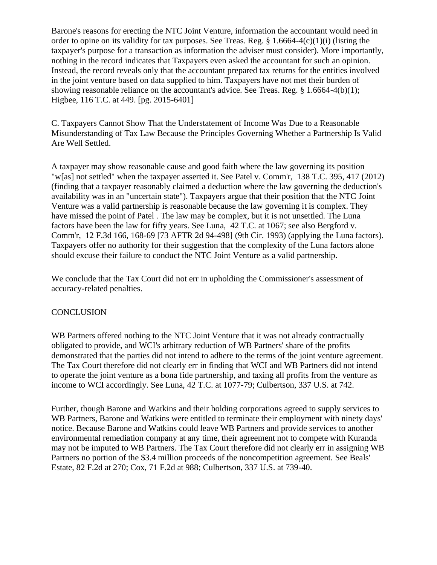Barone's reasons for erecting the NTC Joint Venture, information the accountant would need in order to opine on its validity for tax purposes. See Treas. Reg.  $\S 1.6664-4(c)(1)(i)$  (listing the taxpayer's purpose for a transaction as information the adviser must consider). More importantly, nothing in the record indicates that Taxpayers even asked the accountant for such an opinion. Instead, the record reveals only that the accountant prepared tax returns for the entities involved in the joint venture based on data supplied to him. Taxpayers have not met their burden of showing reasonable reliance on the accountant's advice. See Treas. Reg. § 1.6664-4(b)(1); Higbee, 116 T.C. at 449. [pg. 2015-6401]

C. Taxpayers Cannot Show That the Understatement of Income Was Due to a Reasonable Misunderstanding of Tax Law Because the Principles Governing Whether a Partnership Is Valid Are Well Settled.

A taxpayer may show reasonable cause and good faith where the law governing its position "w[as] not settled" when the taxpayer asserted it. See Patel v. Comm'r, 138 T.C. 395, 417 (2012) (finding that a taxpayer reasonably claimed a deduction where the law governing the deduction's availability was in an "uncertain state"). Taxpayers argue that their position that the NTC Joint Venture was a valid partnership is reasonable because the law governing it is complex. They have missed the point of Patel . The law may be complex, but it is not unsettled. The Luna factors have been the law for fifty years. See Luna, 42 T.C. at 1067; see also Bergford v. Comm'r, 12 F.3d 166, 168-69 [73 AFTR 2d 94-498] (9th Cir. 1993) (applying the Luna factors). Taxpayers offer no authority for their suggestion that the complexity of the Luna factors alone should excuse their failure to conduct the NTC Joint Venture as a valid partnership.

We conclude that the Tax Court did not err in upholding the Commissioner's assessment of accuracy-related penalties.

### **CONCLUSION**

WB Partners offered nothing to the NTC Joint Venture that it was not already contractually obligated to provide, and WCI's arbitrary reduction of WB Partners' share of the profits demonstrated that the parties did not intend to adhere to the terms of the joint venture agreement. The Tax Court therefore did not clearly err in finding that WCI and WB Partners did not intend to operate the joint venture as a bona fide partnership, and taxing all profits from the venture as income to WCI accordingly. See Luna, 42 T.C. at 1077-79; Culbertson, 337 U.S. at 742.

Further, though Barone and Watkins and their holding corporations agreed to supply services to WB Partners, Barone and Watkins were entitled to terminate their employment with ninety days' notice. Because Barone and Watkins could leave WB Partners and provide services to another environmental remediation company at any time, their agreement not to compete with Kuranda may not be imputed to WB Partners. The Tax Court therefore did not clearly err in assigning WB Partners no portion of the \$3.4 million proceeds of the noncompetition agreement. See Beals' Estate, 82 F.2d at 270; Cox, 71 F.2d at 988; Culbertson, 337 U.S. at 739-40.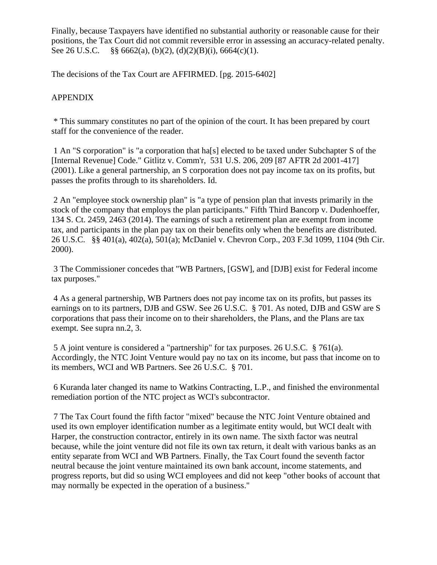Finally, because Taxpayers have identified no substantial authority or reasonable cause for their positions, the Tax Court did not commit reversible error in assessing an accuracy-related penalty. See 26 U.S.C. §§ 6662(a), (b)(2), (d)(2)(B)(i), 6664(c)(1).

The decisions of the Tax Court are AFFIRMED. [pg. 2015-6402]

## APPENDIX

\* This summary constitutes no part of the opinion of the court. It has been prepared by court staff for the convenience of the reader.

1 An "S corporation" is "a corporation that ha[s] elected to be taxed under Subchapter S of the [Internal Revenue] Code." Gitlitz v. Comm'r, 531 U.S. 206, 209 [87 AFTR 2d 2001-417] (2001). Like a general partnership, an S corporation does not pay income tax on its profits, but passes the profits through to its shareholders. Id.

2 An "employee stock ownership plan" is "a type of pension plan that invests primarily in the stock of the company that employs the plan participants." Fifth Third Bancorp v. Dudenhoeffer, 134 S. Ct. 2459, 2463 (2014). The earnings of such a retirement plan are exempt from income tax, and participants in the plan pay tax on their benefits only when the benefits are distributed. 26 U.S.C. §§ 401(a), 402(a), 501(a); McDaniel v. Chevron Corp., 203 F.3d 1099, 1104 (9th Cir. 2000).

3 The Commissioner concedes that "WB Partners, [GSW], and [DJB] exist for Federal income tax purposes."

4 As a general partnership, WB Partners does not pay income tax on its profits, but passes its earnings on to its partners, DJB and GSW. See 26 U.S.C. § 701. As noted, DJB and GSW are S corporations that pass their income on to their shareholders, the Plans, and the Plans are tax exempt. See supra nn.2, 3.

5 A joint venture is considered a "partnership" for tax purposes. 26 U.S.C. § 761(a). Accordingly, the NTC Joint Venture would pay no tax on its income, but pass that income on to its members, WCI and WB Partners. See 26 U.S.C. § 701.

6 Kuranda later changed its name to Watkins Contracting, L.P., and finished the environmental remediation portion of the NTC project as WCI's subcontractor.

7 The Tax Court found the fifth factor "mixed" because the NTC Joint Venture obtained and used its own employer identification number as a legitimate entity would, but WCI dealt with Harper, the construction contractor, entirely in its own name. The sixth factor was neutral because, while the joint venture did not file its own tax return, it dealt with various banks as an entity separate from WCI and WB Partners. Finally, the Tax Court found the seventh factor neutral because the joint venture maintained its own bank account, income statements, and progress reports, but did so using WCI employees and did not keep "other books of account that may normally be expected in the operation of a business."